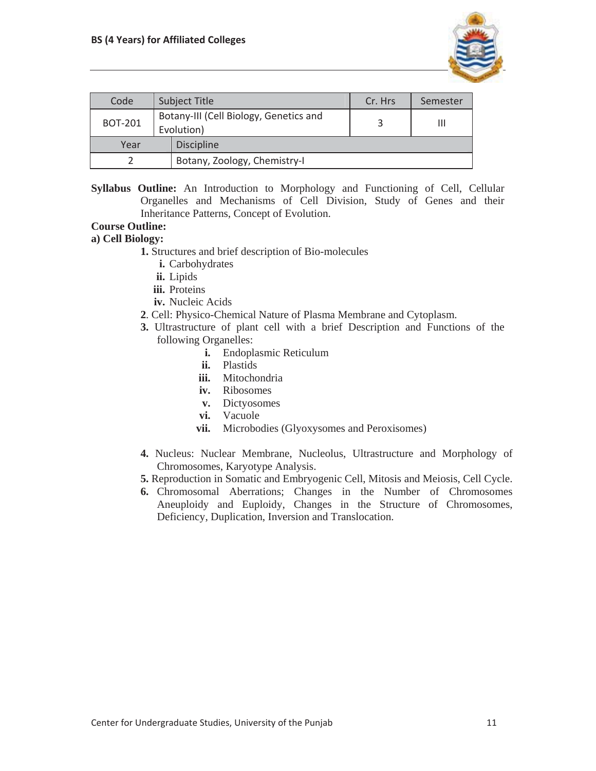

| Code           |  | <b>Subject Title</b>                                 | Cr. Hrs | Semester |
|----------------|--|------------------------------------------------------|---------|----------|
| <b>BOT-201</b> |  | Botany-III (Cell Biology, Genetics and<br>Evolution) |         | Ш        |
| Year           |  | <b>Discipline</b>                                    |         |          |
|                |  | Botany, Zoology, Chemistry-I                         |         |          |

**Syllabus Outline:** An Introduction to Morphology and Functioning of Cell, Cellular Organelles and Mechanisms of Cell Division, Study of Genes and their Inheritance Patterns, Concept of Evolution.

# **Course Outline:**

#### **a) Cell Biology:**

**1.** Structures and brief description of Bio-molecules

- **i.** Carbohydrates
- **ii.** Lipids
- **iii.** Proteins
- **iv.** Nucleic Acids
- **2**. Cell: Physico-Chemical Nature of Plasma Membrane and Cytoplasm.
- **3.** Ultrastructure of plant cell with a brief Description and Functions of the following Organelles:
	- **i.** Endoplasmic Reticulum
	- **ii.** Plastids
	- **iii.** Mitochondria
	- **iv.** Ribosomes
	- **v.** Dictyosomes
	- **vi.** Vacuole
	- **vii.** Microbodies (Glyoxysomes and Peroxisomes)
- **4.** Nucleus: Nuclear Membrane, Nucleolus, Ultrastructure and Morphology of Chromosomes, Karyotype Analysis.
- **5.** Reproduction in Somatic and Embryogenic Cell, Mitosis and Meiosis, Cell Cycle.
- **6.** Chromosomal Aberrations; Changes in the Number of Chromosomes Aneuploidy and Euploidy, Changes in the Structure of Chromosomes, Deficiency, Duplication, Inversion and Translocation.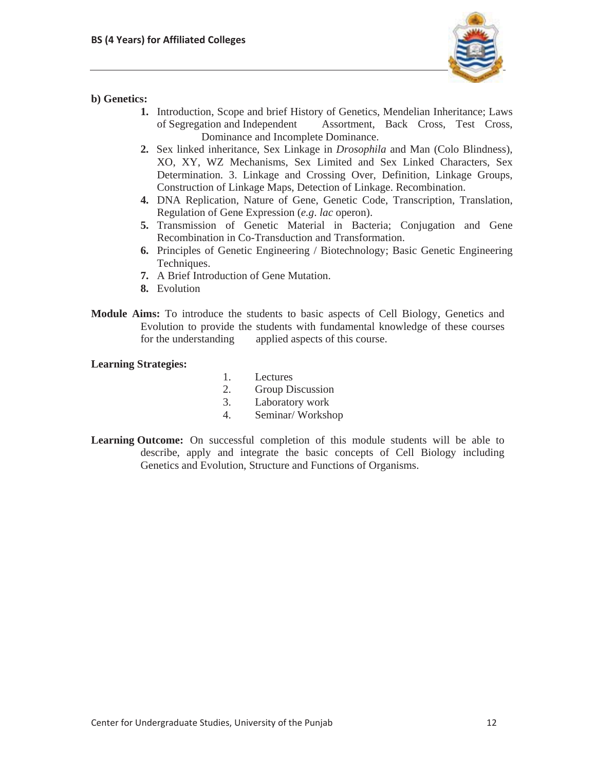

## **b) Genetics:**

- **1.** Introduction, Scope and brief History of Genetics, Mendelian Inheritance; Laws of Segregation and Independent Assortment, Back Cross, Test Cross, Dominance and Incomplete Dominance.
- **2.** Sex linked inheritance, Sex Linkage in *Drosophila* and Man (Colo Blindness), XO, XY, WZ Mechanisms, Sex Limited and Sex Linked Characters, Sex Determination. 3. Linkage and Crossing Over, Definition, Linkage Groups, Construction of Linkage Maps, Detection of Linkage. Recombination.
- **4.** DNA Replication, Nature of Gene, Genetic Code, Transcription, Translation, Regulation of Gene Expression (*e.g*. *lac* operon).
- **5.** Transmission of Genetic Material in Bacteria; Conjugation and Gene Recombination in Co-Transduction and Transformation.
- **6.** Principles of Genetic Engineering / Biotechnology; Basic Genetic Engineering Techniques.
- **7.** A Brief Introduction of Gene Mutation.
- **8.** Evolution
- **Module Aims:** To introduce the students to basic aspects of Cell Biology, Genetics and Evolution to provide the students with fundamental knowledge of these courses for the understanding applied aspects of this course.

### **Learning Strategies:**

- 1. Lectures
- 2. Group Discussion
- 3. Laboratory work
- 4. Seminar/ Workshop
- **Learning Outcome:** On successful completion of this module students will be able to describe, apply and integrate the basic concepts of Cell Biology including Genetics and Evolution, Structure and Functions of Organisms.